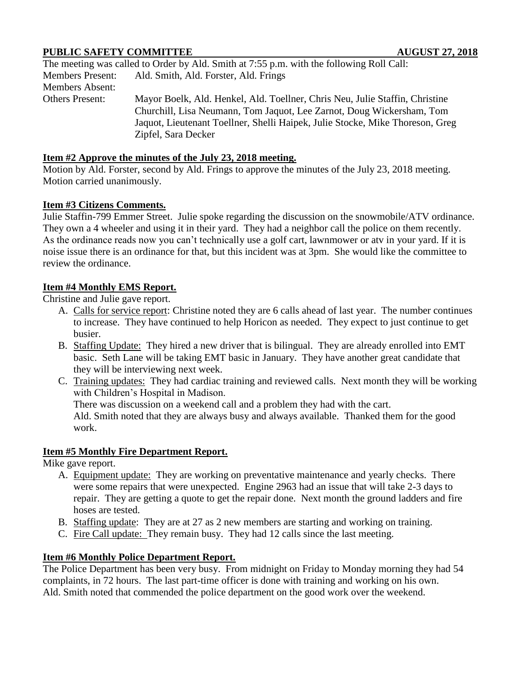# **PUBLIC SAFETY COMMITTEE AUGUST 27, 2018**

| The meeting was called to Order by Ald. Smith at 7:55 p.m. with the following Roll Call: |                                                                                                                                                                                                                                                               |
|------------------------------------------------------------------------------------------|---------------------------------------------------------------------------------------------------------------------------------------------------------------------------------------------------------------------------------------------------------------|
| <b>Members Present:</b>                                                                  | Ald. Smith, Ald. Forster, Ald. Frings                                                                                                                                                                                                                         |
| Members Absent:                                                                          |                                                                                                                                                                                                                                                               |
| <b>Others Present:</b>                                                                   | Mayor Boelk, Ald. Henkel, Ald. Toellner, Chris Neu, Julie Staffin, Christine<br>Churchill, Lisa Neumann, Tom Jaquot, Lee Zarnot, Doug Wickersham, Tom<br>Jaquot, Lieutenant Toellner, Shelli Haipek, Julie Stocke, Mike Thoreson, Greg<br>Zipfel, Sara Decker |

#### **Item #2 Approve the minutes of the July 23, 2018 meeting.**

Motion by Ald. Forster, second by Ald. Frings to approve the minutes of the July 23, 2018 meeting. Motion carried unanimously.

#### **Item #3 Citizens Comments.**

Julie Staffin-799 Emmer Street. Julie spoke regarding the discussion on the snowmobile/ATV ordinance. They own a 4 wheeler and using it in their yard. They had a neighbor call the police on them recently. As the ordinance reads now you can't technically use a golf cart, lawnmower or atv in your yard. If it is noise issue there is an ordinance for that, but this incident was at 3pm. She would like the committee to review the ordinance.

## **Item #4 Monthly EMS Report.**

Christine and Julie gave report.

- A. Calls for service report: Christine noted they are 6 calls ahead of last year. The number continues to increase. They have continued to help Horicon as needed. They expect to just continue to get busier.
- B. Staffing Update: They hired a new driver that is bilingual. They are already enrolled into EMT basic. Seth Lane will be taking EMT basic in January. They have another great candidate that they will be interviewing next week.
- C. Training updates: They had cardiac training and reviewed calls. Next month they will be working with Children's Hospital in Madison.

There was discussion on a weekend call and a problem they had with the cart.

Ald. Smith noted that they are always busy and always available. Thanked them for the good work.

## **Item #5 Monthly Fire Department Report.**

Mike gave report.

- A. Equipment update: They are working on preventative maintenance and yearly checks. There were some repairs that were unexpected. Engine 2963 had an issue that will take 2-3 days to repair. They are getting a quote to get the repair done. Next month the ground ladders and fire hoses are tested.
- B. Staffing update: They are at 27 as 2 new members are starting and working on training.
- C. Fire Call update: They remain busy. They had 12 calls since the last meeting.

# **Item #6 Monthly Police Department Report.**

The Police Department has been very busy. From midnight on Friday to Monday morning they had 54 complaints, in 72 hours. The last part-time officer is done with training and working on his own. Ald. Smith noted that commended the police department on the good work over the weekend.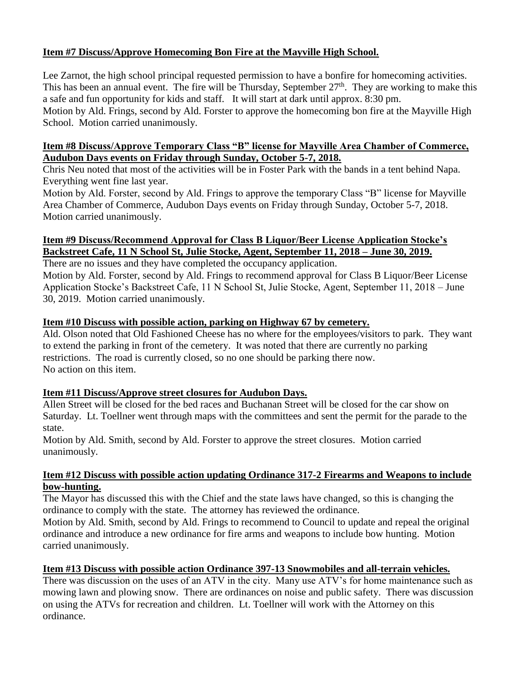# **Item #7 Discuss/Approve Homecoming Bon Fire at the Mayville High School.**

Lee Zarnot, the high school principal requested permission to have a bonfire for homecoming activities. This has been an annual event. The fire will be Thursday, September  $27<sup>th</sup>$ . They are working to make this a safe and fun opportunity for kids and staff. It will start at dark until approx. 8:30 pm. Motion by Ald. Frings, second by Ald. Forster to approve the homecoming bon fire at the Mayville High School. Motion carried unanimously.

#### **Item #8 Discuss/Approve Temporary Class "B" license for Mayville Area Chamber of Commerce, Audubon Days events on Friday through Sunday, October 5-7, 2018.**

Chris Neu noted that most of the activities will be in Foster Park with the bands in a tent behind Napa. Everything went fine last year.

Motion by Ald. Forster, second by Ald. Frings to approve the temporary Class "B" license for Mayville Area Chamber of Commerce, Audubon Days events on Friday through Sunday, October 5-7, 2018. Motion carried unanimously.

# **Item #9 Discuss/Recommend Approval for Class B Liquor/Beer License Application Stocke's Backstreet Cafe, 11 N School St, Julie Stocke, Agent, September 11, 2018 – June 30, 2019.**

There are no issues and they have completed the occupancy application. Motion by Ald. Forster, second by Ald. Frings to recommend approval for Class B Liquor/Beer License Application Stocke's Backstreet Cafe, 11 N School St, Julie Stocke, Agent, September 11, 2018 – June 30, 2019. Motion carried unanimously.

# **Item #10 Discuss with possible action, parking on Highway 67 by cemetery.**

Ald. Olson noted that Old Fashioned Cheese has no where for the employees/visitors to park. They want to extend the parking in front of the cemetery. It was noted that there are currently no parking restrictions. The road is currently closed, so no one should be parking there now. No action on this item.

## **Item #11 Discuss/Approve street closures for Audubon Days.**

Allen Street will be closed for the bed races and Buchanan Street will be closed for the car show on Saturday. Lt. Toellner went through maps with the committees and sent the permit for the parade to the state.

Motion by Ald. Smith, second by Ald. Forster to approve the street closures. Motion carried unanimously.

## **Item #12 Discuss with possible action updating Ordinance 317-2 Firearms and Weapons to include bow-hunting.**

The Mayor has discussed this with the Chief and the state laws have changed, so this is changing the ordinance to comply with the state. The attorney has reviewed the ordinance.

Motion by Ald. Smith, second by Ald. Frings to recommend to Council to update and repeal the original ordinance and introduce a new ordinance for fire arms and weapons to include bow hunting. Motion carried unanimously.

## **Item #13 Discuss with possible action Ordinance 397-13 Snowmobiles and all-terrain vehicles.**

There was discussion on the uses of an ATV in the city. Many use ATV's for home maintenance such as mowing lawn and plowing snow. There are ordinances on noise and public safety. There was discussion on using the ATVs for recreation and children. Lt. Toellner will work with the Attorney on this ordinance.